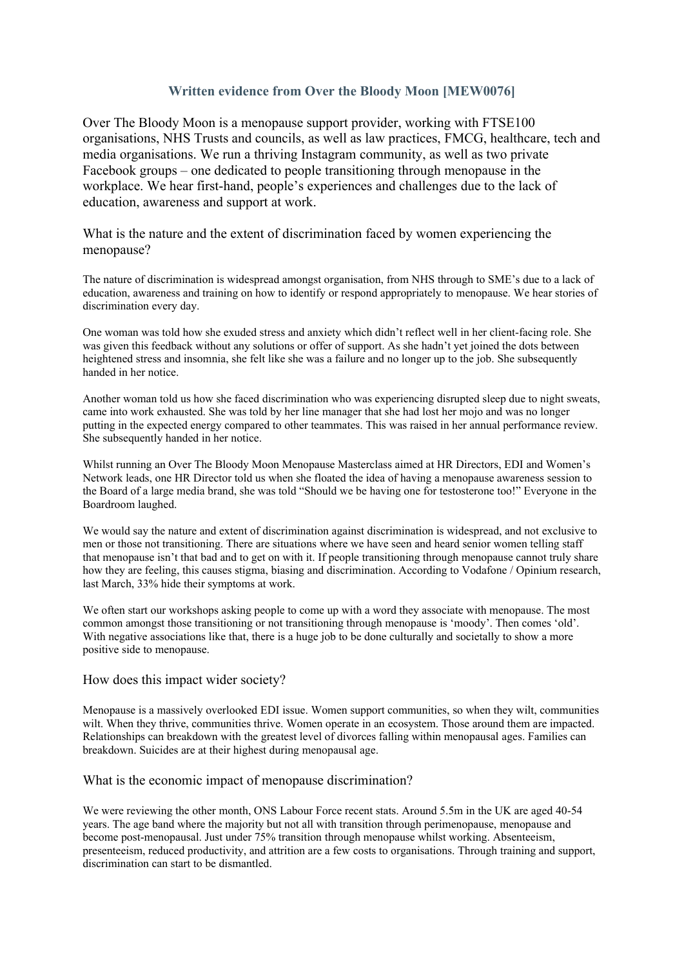# **Written evidence from Over the Bloody Moon [MEW0076]**

Over The Bloody Moon is a menopause support provider, working with FTSE100 organisations, NHS Trusts and councils, as well as law practices, FMCG, healthcare, tech and media organisations. We run a thriving Instagram community, as well as two private Facebook groups – one dedicated to people transitioning through menopause in the workplace. We hear first-hand, people's experiences and challenges due to the lack of education, awareness and support at work.

What is the nature and the extent of discrimination faced by women experiencing the menopause?

The nature of discrimination is widespread amongst organisation, from NHS through to SME's due to a lack of education, awareness and training on how to identify or respond appropriately to menopause. We hear stories of discrimination every day.

One woman was told how she exuded stress and anxiety which didn't reflect well in her client-facing role. She was given this feedback without any solutions or offer of support. As she hadn't yet joined the dots between heightened stress and insomnia, she felt like she was a failure and no longer up to the job. She subsequently handed in her notice.

Another woman told us how she faced discrimination who was experiencing disrupted sleep due to night sweats, came into work exhausted. She was told by her line manager that she had lost her mojo and was no longer putting in the expected energy compared to other teammates. This was raised in her annual performance review. She subsequently handed in her notice.

Whilst running an Over The Bloody Moon Menopause Masterclass aimed at HR Directors, EDI and Women's Network leads, one HR Director told us when she floated the idea of having a menopause awareness session to the Board of a large media brand, she was told "Should we be having one for testosterone too!" Everyone in the Boardroom laughed.

We would say the nature and extent of discrimination against discrimination is widespread, and not exclusive to men or those not transitioning. There are situations where we have seen and heard senior women telling staff that menopause isn't that bad and to get on with it. If people transitioning through menopause cannot truly share how they are feeling, this causes stigma, biasing and discrimination. According to Vodafone / Opinium research, last March, 33% hide their symptoms at work.

We often start our workshops asking people to come up with a word they associate with menopause. The most common amongst those transitioning or not transitioning through menopause is 'moody'. Then comes 'old'. With negative associations like that, there is a huge job to be done culturally and societally to show a more positive side to menopause.

## How does this impact wider society?

Menopause is a massively overlooked EDI issue. Women support communities, so when they wilt, communities wilt. When they thrive, communities thrive. Women operate in an ecosystem. Those around them are impacted. Relationships can breakdown with the greatest level of divorces falling within menopausal ages. Families can breakdown. Suicides are at their highest during menopausal age.

## What is the economic impact of menopause discrimination?

We were reviewing the other month, ONS Labour Force recent stats. Around 5.5m in the UK are aged 40-54 years. The age band where the majority but not all with transition through perimenopause, menopause and become post-menopausal. Just under 75% transition through menopause whilst working. Absenteeism, presenteeism, reduced productivity, and attrition are a few costs to organisations. Through training and support, discrimination can start to be dismantled.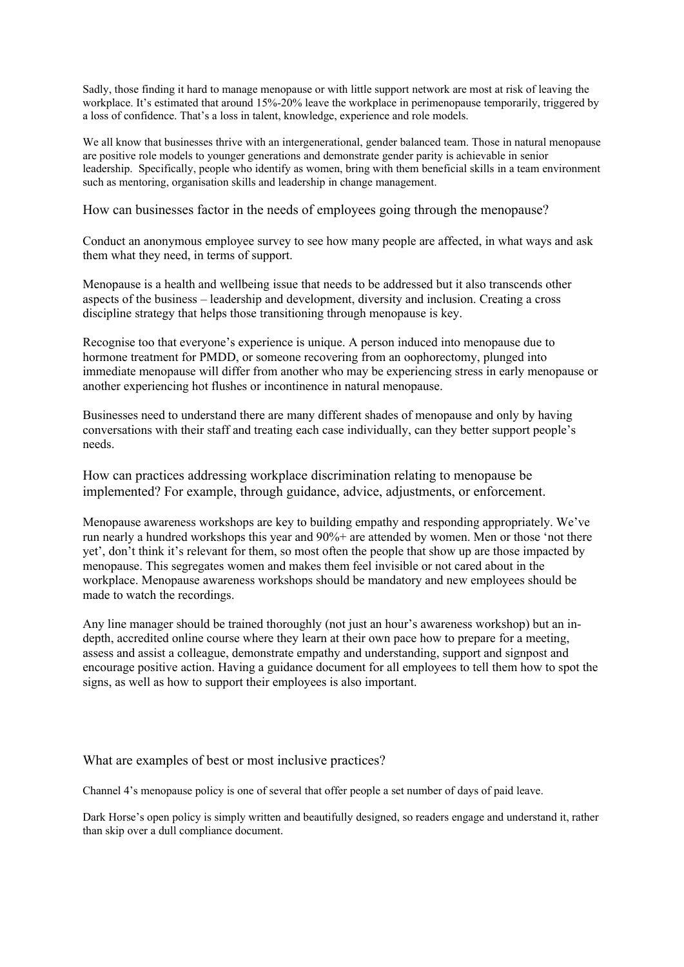Sadly, those finding it hard to manage menopause or with little support network are most at risk of leaving the workplace. It's estimated that around 15%-20% leave the workplace in perimenopause temporarily, triggered by a loss of confidence. That's a loss in talent, knowledge, experience and role models.

We all know that businesses thrive with an intergenerational, gender balanced team. Those in natural menopause are positive role models to younger generations and demonstrate gender parity is achievable in senior leadership. Specifically, people who identify as women, bring with them beneficial skills in a team environment such as mentoring, organisation skills and leadership in change management.

How can businesses factor in the needs of employees going through the menopause?

Conduct an anonymous employee survey to see how many people are affected, in what ways and ask them what they need, in terms of support.

Menopause is a health and wellbeing issue that needs to be addressed but it also transcends other aspects of the business – leadership and development, diversity and inclusion. Creating a cross discipline strategy that helps those transitioning through menopause is key.

Recognise too that everyone's experience is unique. A person induced into menopause due to hormone treatment for PMDD, or someone recovering from an oophorectomy, plunged into immediate menopause will differ from another who may be experiencing stress in early menopause or another experiencing hot flushes or incontinence in natural menopause.

Businesses need to understand there are many different shades of menopause and only by having conversations with their staff and treating each case individually, can they better support people's needs.

How can practices addressing workplace discrimination relating to menopause be implemented? For example, through guidance, advice, adjustments, or enforcement.

Menopause awareness workshops are key to building empathy and responding appropriately. We've run nearly a hundred workshops this year and 90% + are attended by women. Men or those 'not there yet', don't think it's relevant for them, so most often the people that show up are those impacted by menopause. This segregates women and makes them feel invisible or not cared about in the workplace. Menopause awareness workshops should be mandatory and new employees should be made to watch the recordings.

Any line manager should be trained thoroughly (not just an hour's awareness workshop) but an indepth, accredited online course where they learn at their own pace how to prepare for a meeting, assess and assist a colleague, demonstrate empathy and understanding, support and signpost and encourage positive action. Having a guidance document for all employees to tell them how to spot the signs, as well as how to support their employees is also important.

## What are examples of best or most inclusive practices?

Channel 4's menopause policy is one of several that offer people a set number of days of paid leave.

Dark Horse's open policy is simply written and beautifully designed, so readers engage and understand it, rather than skip over a dull compliance document.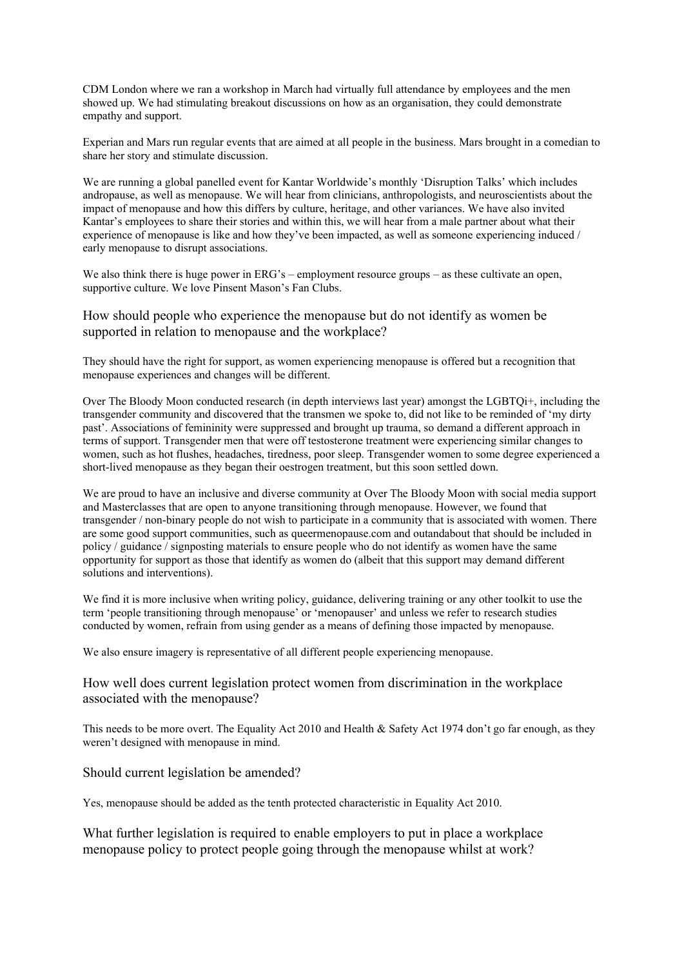CDM London where we ran a workshop in March had virtually full attendance by employees and the men showed up. We had stimulating breakout discussions on how as an organisation, they could demonstrate empathy and support.

Experian and Mars run regular events that are aimed at all people in the business. Mars brought in a comedian to share her story and stimulate discussion.

We are running a global panelled event for Kantar Worldwide's monthly 'Disruption Talks' which includes andropause, as well as menopause. We will hear from clinicians, anthropologists, and neuroscientists about the impact of menopause and how this differs by culture, heritage, and other variances. We have also invited Kantar's employees to share their stories and within this, we will hear from a male partner about what their experience of menopause is like and how they've been impacted, as well as someone experiencing induced / early menopause to disrupt associations.

We also think there is huge power in ERG's – employment resource groups – as these cultivate an open, supportive culture. We love Pinsent Mason's Fan Clubs.

How should people who experience the menopause but do not identify as women be supported in relation to menopause and the workplace?

They should have the right for support, as women experiencing menopause is offered but a recognition that menopause experiences and changes will be different.

Over The Bloody Moon conducted research (in depth interviews last year) amongst the LGBTQi+, including the transgender community and discovered that the transmen we spoke to, did not like to be reminded of 'my dirty past'. Associations of femininity were suppressed and brought up trauma, so demand a different approach in terms of support. Transgender men that were off testosterone treatment were experiencing similar changes to women, such as hot flushes, headaches, tiredness, poor sleep. Transgender women to some degree experienced a short-lived menopause as they began their oestrogen treatment, but this soon settled down.

We are proud to have an inclusive and diverse community at Over The Bloody Moon with social media support and Masterclasses that are open to anyone transitioning through menopause. However, we found that transgender / non-binary people do not wish to participate in a community that is associated with women. There are some good support communities, such as queermenopause.com and outandabout that should be included in policy / guidance / signposting materials to ensure people who do not identify as women have the same opportunity for support as those that identify as women do (albeit that this support may demand different solutions and interventions).

We find it is more inclusive when writing policy, guidance, delivering training or any other toolkit to use the term 'people transitioning through menopause' or 'menopauser' and unless we refer to research studies conducted by women, refrain from using gender as a means of defining those impacted by menopause.

We also ensure imagery is representative of all different people experiencing menopause.

How well does current legislation protect women from discrimination in the workplace associated with the menopause?

This needs to be more overt. The Equality Act 2010 and Health & Safety Act 1974 don't go far enough, as they weren't designed with menopause in mind.

### Should current legislation be amended?

Yes, menopause should be added as the tenth protected characteristic in Equality Act 2010.

What further legislation is required to enable employers to put in place a workplace menopause policy to protect people going through the menopause whilst at work?